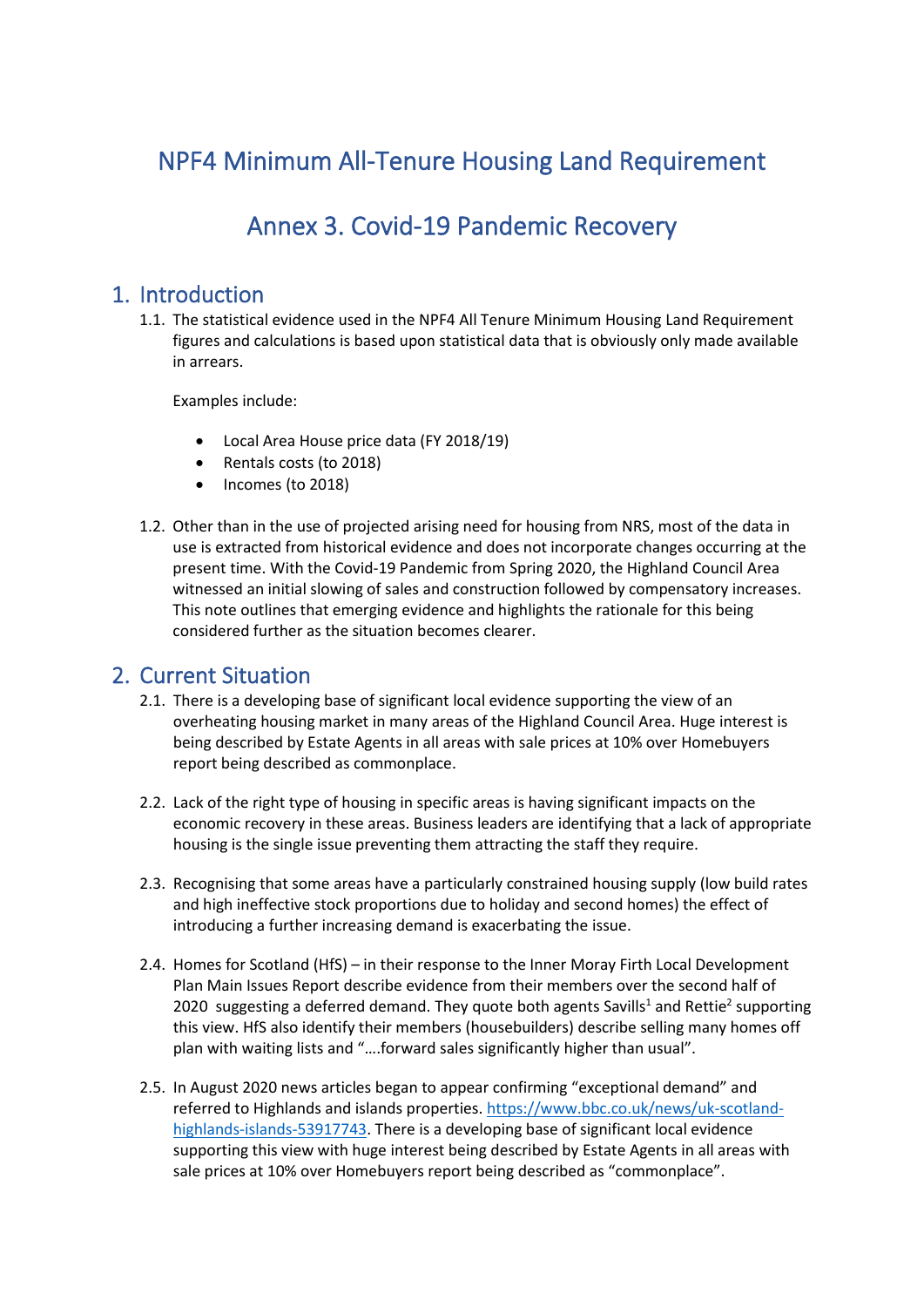# NPF4 Minimum All-Tenure Housing Land Requirement

## Annex 3. Covid-19 Pandemic Recovery

### 1. Introduction

1.1. The statistical evidence used in the NPF4 All Tenure Minimum Housing Land Requirement figures and calculations is based upon statistical data that is obviously only made available in arrears.

Examples include:

- Local Area House price data (FY 2018/19)
- Rentals costs (to 2018)
- Incomes (to 2018)
- 1.2. Other than in the use of projected arising need for housing from NRS, most of the data in use is extracted from historical evidence and does not incorporate changes occurring at the present time. With the Covid-19 Pandemic from Spring 2020, the Highland Council Area witnessed an initial slowing of sales and construction followed by compensatory increases. This note outlines that emerging evidence and highlights the rationale for this being considered further as the situation becomes clearer.

#### 2. Current Situation

- 2.1. There is a developing base of significant local evidence supporting the view of an overheating housing market in many areas of the Highland Council Area. Huge interest is being described by Estate Agents in all areas with sale prices at 10% over Homebuyers report being described as commonplace.
- 2.2. Lack of the right type of housing in specific areas is having significant impacts on the economic recovery in these areas. Business leaders are identifying that a lack of appropriate housing is the single issue preventing them attracting the staff they require.
- 2.3. Recognising that some areas have a particularly constrained housing supply (low build rates and high ineffective stock proportions due to holiday and second homes) the effect of introducing a further increasing demand is exacerbating the issue.
- 2.4. Homes for Scotland (HfS) in their response to the Inner Moray Firth Local Development Plan Main Issues Report describe evidence from their members over the second half of 2020 suggesting a deferred demand. They quote both agents Savills<sup>1</sup> and Rettie<sup>2</sup> supporting this view. HfS also identify their members (housebuilders) describe selling many homes off plan with waiting lists and "….forward sales significantly higher than usual".
- 2.5. In August 2020 news articles began to appear confirming "exceptional demand" and referred to Highlands and islands properties[. https://www.bbc.co.uk/news/uk-scotland](https://www.bbc.co.uk/news/uk-scotland-highlands-islands-53917743)[highlands-islands-53917743.](https://www.bbc.co.uk/news/uk-scotland-highlands-islands-53917743) There is a developing base of significant local evidence supporting this view with huge interest being described by Estate Agents in all areas with sale prices at 10% over Homebuyers report being described as "commonplace".